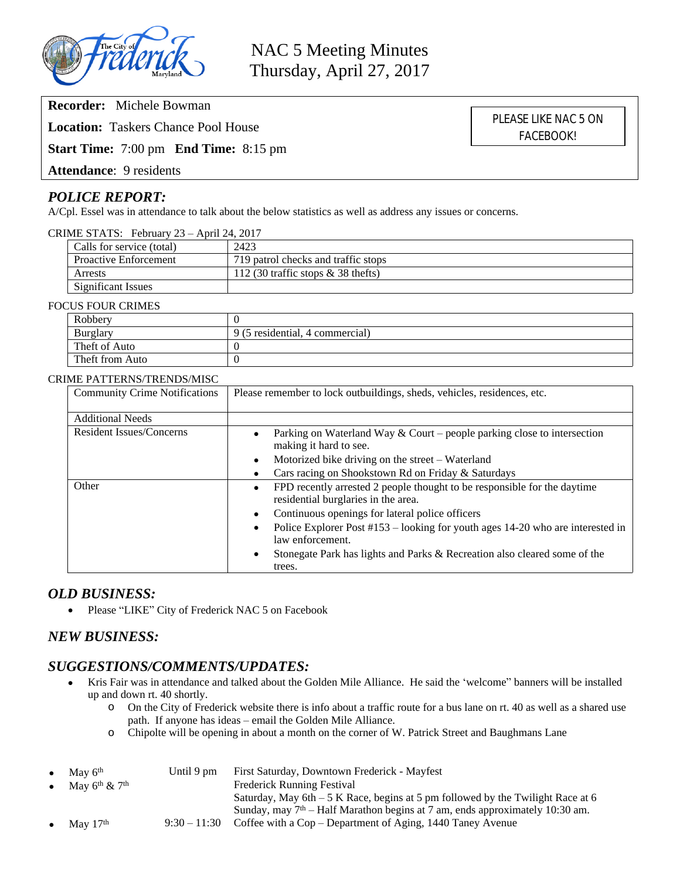

**Recorder:** Michele Bowman

**Location:** Taskers Chance Pool House

**Start Time:** 7:00 pm **End Time:** 8:15 pm

**Attendance**: 9 residents

# *POLICE REPORT:*

A/Cpl. Essel was in attendance to talk about the below statistics as well as address any issues or concerns.

### CRIME STATS: February 23 – April 24, 2017

| Calls for service (total)    | 2423                                   |
|------------------------------|----------------------------------------|
| <b>Proactive Enforcement</b> | 719 patrol checks and traffic stops    |
| Arrests                      | 112 (30 traffic stops $\&$ 38 the fts) |
| <b>Significant Issues</b>    |                                        |

#### FOCUS FOUR CRIMES

| Robbery         |                                 |
|-----------------|---------------------------------|
| Burglary        | 9 (5 residential, 4 commercial) |
| Theft of Auto   |                                 |
| Theft from Auto |                                 |

#### CRIME PATTERNS/TRENDS/MISC

| <b>Community Crime Notifications</b> | Please remember to lock outbuildings, sheds, vehicles, residences, etc.                                                      |  |  |
|--------------------------------------|------------------------------------------------------------------------------------------------------------------------------|--|--|
| <b>Additional Needs</b>              |                                                                                                                              |  |  |
| Resident Issues/Concerns             | Parking on Waterland Way $&$ Court – people parking close to intersection<br>making it hard to see.                          |  |  |
|                                      | Motorized bike driving on the street – Waterland<br>$\bullet$                                                                |  |  |
|                                      | Cars racing on Shookstown Rd on Friday & Saturdays<br>$\bullet$                                                              |  |  |
| Other                                | FPD recently arrested 2 people thought to be responsible for the daytime<br>$\bullet$<br>residential burglaries in the area. |  |  |
|                                      | Continuous openings for lateral police officers<br>$\bullet$                                                                 |  |  |
|                                      | Police Explorer Post #153 – looking for youth ages 14-20 who are interested in<br>law enforcement.                           |  |  |
|                                      | Stonegate Park has lights and Parks & Recreation also cleared some of the<br>$\bullet$                                       |  |  |
|                                      | trees.                                                                                                                       |  |  |

## *OLD BUSINESS:*

• Please "LIKE" City of Frederick NAC 5 on Facebook

# *NEW BUSINESS:*

# *SUGGESTIONS/COMMENTS/UPDATES:*

- Kris Fair was in attendance and talked about the Golden Mile Alliance. He said the 'welcome" banners will be installed up and down rt. 40 shortly.
	- o On the City of Frederick website there is info about a traffic route for a bus lane on rt. 40 as well as a shared use path. If anyone has ideas – email the Golden Mile Alliance.
	- o Chipolte will be opening in about a month on the corner of W. Patrick Street and Baughmans Lane

| $\bullet$ | May $6th$                             | Until 9 pm     | First Saturday, Downtown Frederick - Mayfest                                     |
|-----------|---------------------------------------|----------------|----------------------------------------------------------------------------------|
|           | May $6^{\text{th}}$ & $7^{\text{th}}$ |                | <b>Frederick Running Festival</b>                                                |
|           |                                       |                | Saturday, May 6th $-5$ K Race, begins at 5 pm followed by the Twilight Race at 6 |
|           |                                       |                | Sunday, may $7th$ – Half Marathon begins at 7 am, ends approximately 10:30 am.   |
| $\bullet$ | May $17th$                            | $9:30 - 11:30$ | Coffee with a Cop – Department of Aging, 1440 Taney Avenue                       |

PLEASE LIKE NAC 5 ON FACEBOOK!